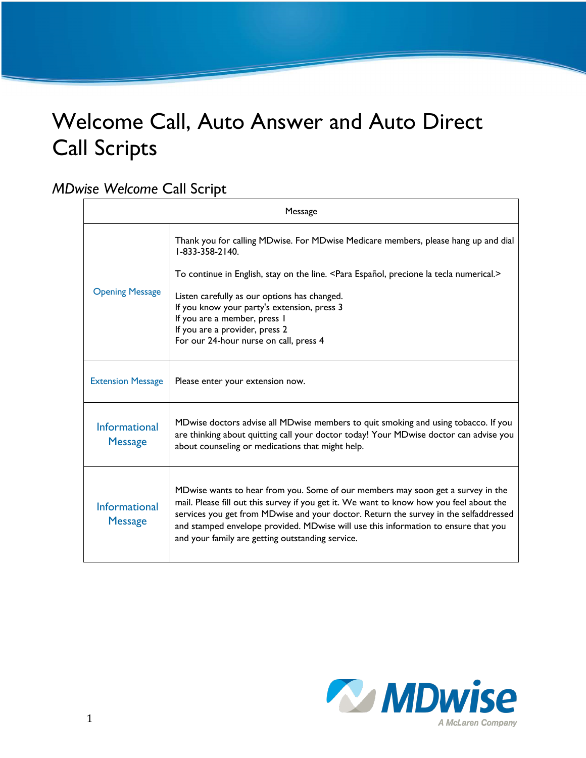# Welcome Call, Auto Answer and Auto Direct Call Scripts

#### *MDwise Welcome* Call Script

| Message                                |                                                                                                                                                                                                                                                                                                                                                                                                                                       |
|----------------------------------------|---------------------------------------------------------------------------------------------------------------------------------------------------------------------------------------------------------------------------------------------------------------------------------------------------------------------------------------------------------------------------------------------------------------------------------------|
| <b>Opening Message</b>                 | Thank you for calling MDwise. For MDwise Medicare members, please hang up and dial<br>1-833-358-2140.<br>To continue in English, stay on the line. <para español,="" la="" numerical.="" precione="" tecla=""><br/>Listen carefully as our options has changed.<br/>If you know your party's extension, press 3<br/>If you are a member, press I<br/>If you are a provider, press 2<br/>For our 24-hour nurse on call, press 4</para> |
| <b>Extension Message</b>               | Please enter your extension now.                                                                                                                                                                                                                                                                                                                                                                                                      |
| <b>Informational</b><br><b>Message</b> | MDwise doctors advise all MDwise members to quit smoking and using tobacco. If you<br>are thinking about quitting call your doctor today! Your MDwise doctor can advise you<br>about counseling or medications that might help.                                                                                                                                                                                                       |
| Informational<br><b>Message</b>        | MDwise wants to hear from you. Some of our members may soon get a survey in the<br>mail. Please fill out this survey if you get it. We want to know how you feel about the<br>services you get from MDwise and your doctor. Return the survey in the selfaddressed<br>and stamped envelope provided. MDwise will use this information to ensure that you<br>and your family are getting outstanding service.                          |

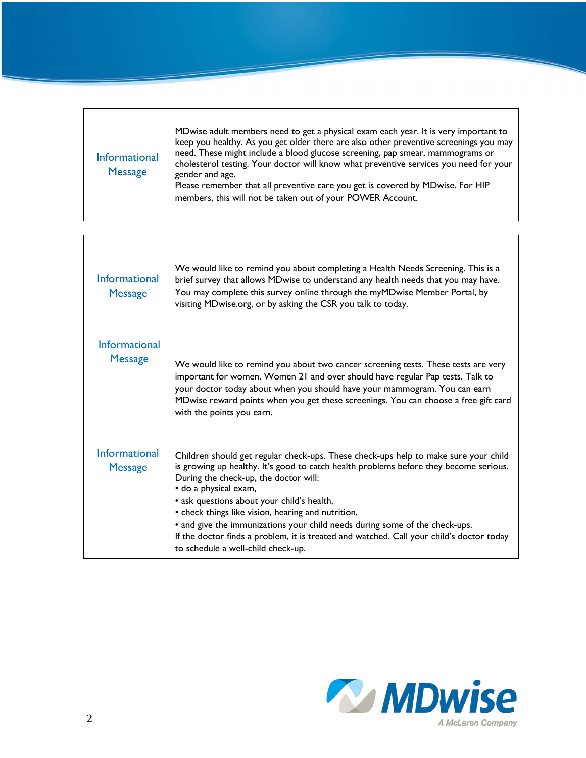| Informational<br><b>Message</b> | MDwise adult members need to get a physical exam each year. It is very important to<br>keep you healthy. As you get older there are also other preventive screenings you may<br>need. These might include a blood glucose screening, pap smear, mammograms or<br>cholesterol testing. Your doctor will know what preventive services you need for your<br>gender and age.<br>Please remember that all preventive care you get is covered by MDwise. For HIP<br>members, this will not be taken out of your POWER Account. |
|---------------------------------|---------------------------------------------------------------------------------------------------------------------------------------------------------------------------------------------------------------------------------------------------------------------------------------------------------------------------------------------------------------------------------------------------------------------------------------------------------------------------------------------------------------------------|
|---------------------------------|---------------------------------------------------------------------------------------------------------------------------------------------------------------------------------------------------------------------------------------------------------------------------------------------------------------------------------------------------------------------------------------------------------------------------------------------------------------------------------------------------------------------------|

| Informational<br><b>Message</b>        | We would like to remind you about completing a Health Needs Screening. This is a<br>brief survey that allows MDwise to understand any health needs that you may have.<br>You may complete this survey online through the myMDwise Member Portal, by<br>visiting MDwise.org, or by asking the CSR you talk to today.                                                                                                                                                                                                                                                 |
|----------------------------------------|---------------------------------------------------------------------------------------------------------------------------------------------------------------------------------------------------------------------------------------------------------------------------------------------------------------------------------------------------------------------------------------------------------------------------------------------------------------------------------------------------------------------------------------------------------------------|
| <b>Informational</b><br><b>Message</b> | We would like to remind you about two cancer screening tests. These tests are very<br>important for women. Women 21 and over should have regular Pap tests. Talk to<br>your doctor today about when you should have your mammogram. You can earn<br>MDwise reward points when you get these screenings. You can choose a free gift card<br>with the points you earn.                                                                                                                                                                                                |
| Informational<br><b>Message</b>        | Children should get regular check-ups. These check-ups help to make sure your child<br>is growing up healthy. It's good to catch health problems before they become serious.<br>During the check-up, the doctor will:<br>· do a physical exam,<br>• ask questions about your child's health,<br>• check things like vision, hearing and nutrition,<br>• and give the immunizations your child needs during some of the check-ups.<br>If the doctor finds a problem, it is treated and watched. Call your child's doctor today<br>to schedule a well-child check-up. |

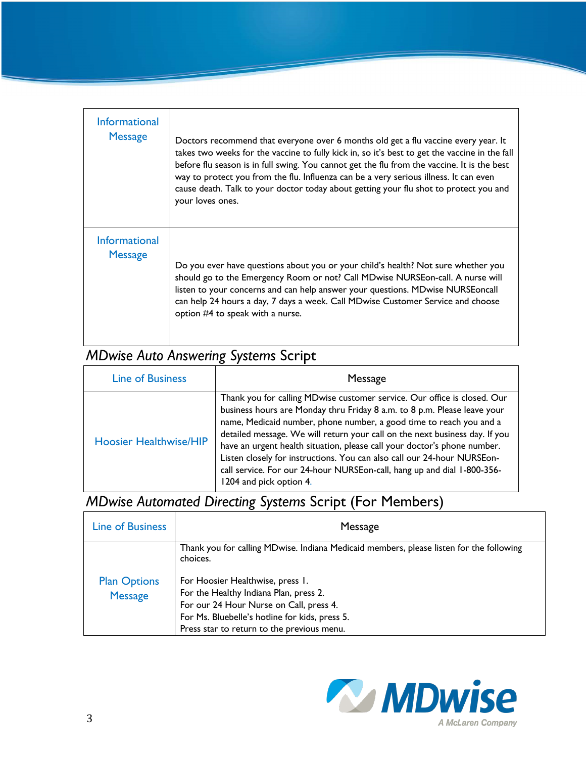| Informational<br><b>Message</b> | Doctors recommend that everyone over 6 months old get a flu vaccine every year. It<br>takes two weeks for the vaccine to fully kick in, so it's best to get the vaccine in the fall<br>before flu season is in full swing. You cannot get the flu from the vaccine. It is the best<br>way to protect you from the flu. Influenza can be a very serious illness. It can even<br>cause death. Talk to your doctor today about getting your flu shot to protect you and<br>your loves ones. |
|---------------------------------|------------------------------------------------------------------------------------------------------------------------------------------------------------------------------------------------------------------------------------------------------------------------------------------------------------------------------------------------------------------------------------------------------------------------------------------------------------------------------------------|
| Informational<br><b>Message</b> | Do you ever have questions about you or your child's health? Not sure whether you<br>should go to the Emergency Room or not? Call MDwise NURSEon-call. A nurse will<br>listen to your concerns and can help answer your questions. MDwise NURSEoncall<br>can help 24 hours a day, 7 days a week. Call MDwise Customer Service and choose<br>option #4 to speak with a nurse.                                                                                                             |

# *MDwise Auto Answering Systems* Script

| <b>Line of Business</b>       | Message                                                                                                                                                                                                                                                                                                                                                                                                                                                                                                                                                                 |
|-------------------------------|-------------------------------------------------------------------------------------------------------------------------------------------------------------------------------------------------------------------------------------------------------------------------------------------------------------------------------------------------------------------------------------------------------------------------------------------------------------------------------------------------------------------------------------------------------------------------|
| <b>Hoosier Healthwise/HIP</b> | Thank you for calling MDwise customer service. Our office is closed. Our<br>business hours are Monday thru Friday 8 a.m. to 8 p.m. Please leave your<br>name, Medicaid number, phone number, a good time to reach you and a<br>detailed message. We will return your call on the next business day. If you<br>have an urgent health situation, please call your doctor's phone number.<br>Listen closely for instructions. You can also call our 24-hour NURSEon-<br>call service. For our 24-hour NURSEon-call, hang up and dial 1-800-356-<br>1204 and pick option 4. |

## *MDwise Automated Directing Systems* Script (For Members)

| <b>Line of Business</b>               | Message                                                                                                                                                                                                               |
|---------------------------------------|-----------------------------------------------------------------------------------------------------------------------------------------------------------------------------------------------------------------------|
|                                       | Thank you for calling MDwise. Indiana Medicaid members, please listen for the following<br>choices.                                                                                                                   |
| <b>Plan Options</b><br><b>Message</b> | For Hoosier Healthwise, press 1.<br>For the Healthy Indiana Plan, press 2.<br>For our 24 Hour Nurse on Call, press 4.<br>For Ms. Bluebelle's hotline for kids, press 5.<br>Press star to return to the previous menu. |

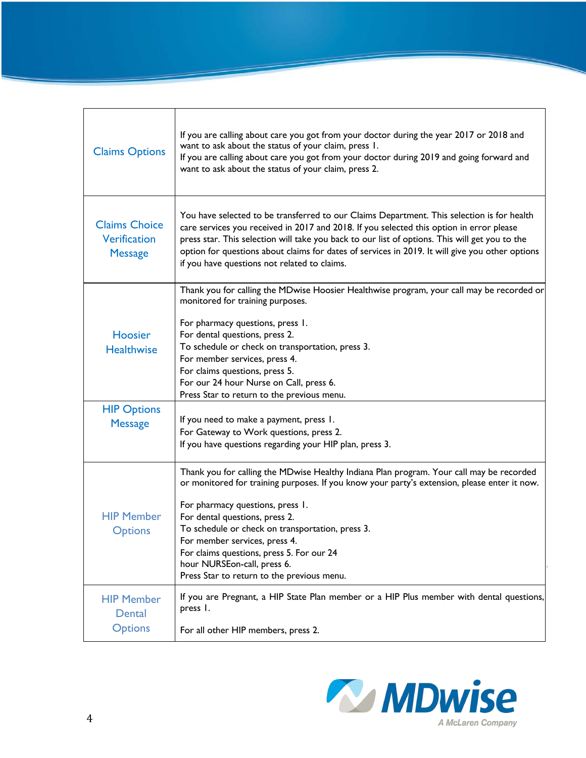| <b>Claims Options</b>                                         | If you are calling about care you got from your doctor during the year 2017 or 2018 and<br>want to ask about the status of your claim, press 1.<br>If you are calling about care you got from your doctor during 2019 and going forward and<br>want to ask about the status of your claim, press 2.                                                                                                                                                                           |
|---------------------------------------------------------------|-------------------------------------------------------------------------------------------------------------------------------------------------------------------------------------------------------------------------------------------------------------------------------------------------------------------------------------------------------------------------------------------------------------------------------------------------------------------------------|
| <b>Claims Choice</b><br><b>Verification</b><br><b>Message</b> | You have selected to be transferred to our Claims Department. This selection is for health<br>care services you received in 2017 and 2018. If you selected this option in error please<br>press star. This selection will take you back to our list of options. This will get you to the<br>option for questions about claims for dates of services in 2019. It will give you other options<br>if you have questions not related to claims.                                   |
| <b>Hoosier</b><br><b>Healthwise</b>                           | Thank you for calling the MDwise Hoosier Healthwise program, your call may be recorded or<br>monitored for training purposes.<br>For pharmacy questions, press 1.<br>For dental questions, press 2.<br>To schedule or check on transportation, press 3.<br>For member services, press 4.<br>For claims questions, press 5.<br>For our 24 hour Nurse on Call, press 6.<br>Press Star to return to the previous menu.                                                           |
| <b>HIP Options</b><br><b>Message</b>                          | If you need to make a payment, press 1.<br>For Gateway to Work questions, press 2.<br>If you have questions regarding your HIP plan, press 3.                                                                                                                                                                                                                                                                                                                                 |
| <b>HIP Member</b><br><b>Options</b>                           | Thank you for calling the MDwise Healthy Indiana Plan program. Your call may be recorded<br>or monitored for training purposes. If you know your party's extension, please enter it now.<br>For pharmacy questions, press 1.<br>For dental questions, press 2.<br>To schedule or check on transportation, press 3.<br>For member services, press 4.<br>For claims questions, press 5. For our 24<br>hour NURSEon-call, press 6.<br>Press Star to return to the previous menu. |
| <b>HIP Member</b><br>Dental<br><b>Options</b>                 | If you are Pregnant, a HIP State Plan member or a HIP Plus member with dental questions,<br>press I.<br>For all other HIP members, press 2.                                                                                                                                                                                                                                                                                                                                   |

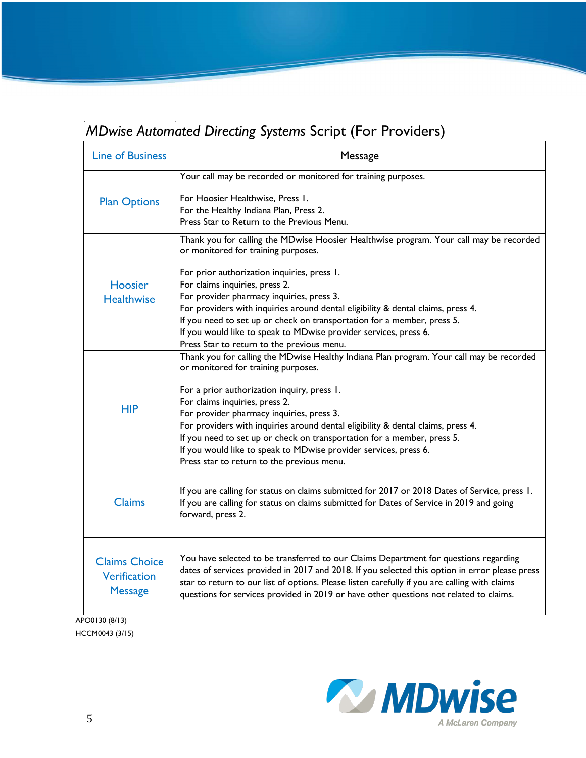## *MDwise Automated Directing Systems* Script (For Providers)

| <b>Line of Business</b>                                       | Message                                                                                                                                                                                                                                                                                                                                                                                                                                                                                                                                        |
|---------------------------------------------------------------|------------------------------------------------------------------------------------------------------------------------------------------------------------------------------------------------------------------------------------------------------------------------------------------------------------------------------------------------------------------------------------------------------------------------------------------------------------------------------------------------------------------------------------------------|
| <b>Plan Options</b>                                           | Your call may be recorded or monitored for training purposes.<br>For Hoosier Healthwise, Press I.<br>For the Healthy Indiana Plan, Press 2.<br>Press Star to Return to the Previous Menu.                                                                                                                                                                                                                                                                                                                                                      |
| Hoosier<br><b>Healthwise</b>                                  | Thank you for calling the MDwise Hoosier Healthwise program. Your call may be recorded<br>or monitored for training purposes.<br>For prior authorization inquiries, press 1.<br>For claims inquiries, press 2.<br>For provider pharmacy inquiries, press 3.<br>For providers with inquiries around dental eligibility & dental claims, press 4.<br>If you need to set up or check on transportation for a member, press 5.<br>If you would like to speak to MDwise provider services, press 6.<br>Press Star to return to the previous menu.   |
| <b>HIP</b>                                                    | Thank you for calling the MDwise Healthy Indiana Plan program. Your call may be recorded<br>or monitored for training purposes.<br>For a prior authorization inquiry, press 1.<br>For claims inquiries, press 2.<br>For provider pharmacy inquiries, press 3.<br>For providers with inquiries around dental eligibility & dental claims, press 4.<br>If you need to set up or check on transportation for a member, press 5.<br>If you would like to speak to MDwise provider services, press 6.<br>Press star to return to the previous menu. |
| <b>Claims</b>                                                 | If you are calling for status on claims submitted for 2017 or 2018 Dates of Service, press 1.<br>If you are calling for status on claims submitted for Dates of Service in 2019 and going<br>forward, press 2.                                                                                                                                                                                                                                                                                                                                 |
| <b>Claims Choice</b><br><b>Verification</b><br><b>Message</b> | You have selected to be transferred to our Claims Department for questions regarding<br>dates of services provided in 2017 and 2018. If you selected this option in error please press<br>star to return to our list of options. Please listen carefully if you are calling with claims<br>questions for services provided in 2019 or have other questions not related to claims.                                                                                                                                                              |
| APO0130 (8/13)                                                |                                                                                                                                                                                                                                                                                                                                                                                                                                                                                                                                                |

HCCM0043 (3/15)